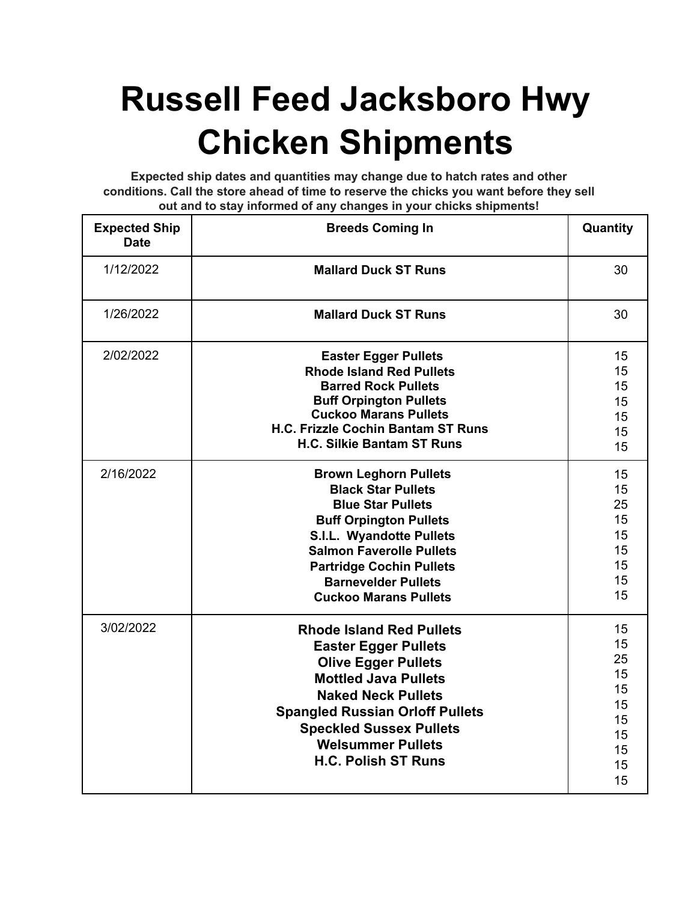## **Russell Feed Jacksboro Hwy Chicken Shipments**

**Expected ship dates and quantities may change due to hatch rates and other conditions. Call the store ahead of time to reserve the chicks you want before they sell out and to stay informed of any changes in your chicks shipments!**

| <b>Expected Ship</b><br><b>Date</b> | <b>Breeds Coming In</b>                   | Quantity |
|-------------------------------------|-------------------------------------------|----------|
| 1/12/2022                           | <b>Mallard Duck ST Runs</b>               | 30       |
| 1/26/2022                           | <b>Mallard Duck ST Runs</b>               | 30       |
| 2/02/2022                           | <b>Easter Egger Pullets</b>               | 15       |
|                                     | <b>Rhode Island Red Pullets</b>           | 15       |
|                                     | <b>Barred Rock Pullets</b>                | 15       |
|                                     | <b>Buff Orpington Pullets</b>             | 15       |
|                                     | <b>Cuckoo Marans Pullets</b>              | 15       |
|                                     | <b>H.C. Frizzle Cochin Bantam ST Runs</b> | 15       |
|                                     | <b>H.C. Silkie Bantam ST Runs</b>         | 15       |
| 2/16/2022                           | <b>Brown Leghorn Pullets</b>              | 15       |
|                                     | <b>Black Star Pullets</b>                 | 15       |
|                                     | <b>Blue Star Pullets</b>                  | 25       |
|                                     | <b>Buff Orpington Pullets</b>             | 15       |
|                                     | <b>S.I.L. Wyandotte Pullets</b>           | 15       |
|                                     | <b>Salmon Faverolle Pullets</b>           | 15       |
|                                     | <b>Partridge Cochin Pullets</b>           | 15       |
|                                     | <b>Barnevelder Pullets</b>                | 15       |
|                                     | <b>Cuckoo Marans Pullets</b>              | 15       |
| 3/02/2022                           | <b>Rhode Island Red Pullets</b>           | 15       |
|                                     | <b>Easter Egger Pullets</b>               | 15       |
|                                     | <b>Olive Egger Pullets</b>                | 25       |
|                                     | <b>Mottled Java Pullets</b>               | 15       |
|                                     | <b>Naked Neck Pullets</b>                 | 15       |
|                                     | <b>Spangled Russian Orloff Pullets</b>    | 15       |
|                                     | <b>Speckled Sussex Pullets</b>            | 15       |
|                                     |                                           | 15       |
|                                     | <b>Welsummer Pullets</b>                  | 15       |
|                                     | <b>H.C. Polish ST Runs</b>                | 15       |
|                                     |                                           | 15       |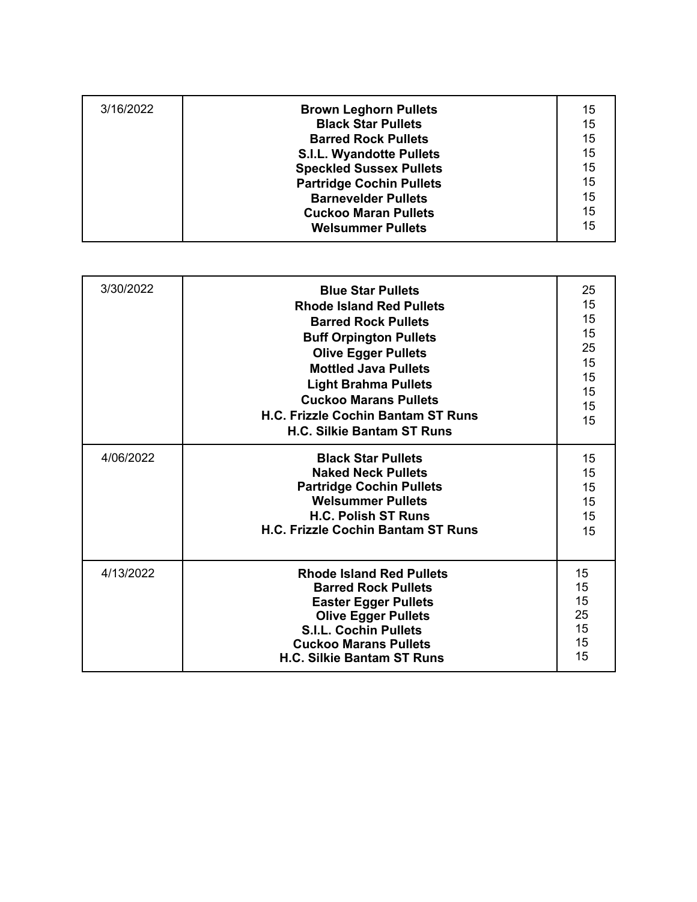| 3/16/2022 | <b>Brown Leghorn Pullets</b><br><b>Black Star Pullets</b><br><b>Barred Rock Pullets</b>                                  | 15<br>15<br>15       |
|-----------|--------------------------------------------------------------------------------------------------------------------------|----------------------|
|           | <b>S.I.L. Wyandotte Pullets</b><br><b>Speckled Sussex Pullets</b>                                                        | 15<br>15             |
|           | <b>Partridge Cochin Pullets</b><br><b>Barnevelder Pullets</b><br><b>Cuckoo Maran Pullets</b><br><b>Welsummer Pullets</b> | 15<br>15<br>15<br>15 |

| 3/30/2022 | <b>Blue Star Pullets</b><br><b>Rhode Island Red Pullets</b><br><b>Barred Rock Pullets</b><br><b>Buff Orpington Pullets</b><br><b>Olive Egger Pullets</b><br><b>Mottled Java Pullets</b><br><b>Light Brahma Pullets</b><br><b>Cuckoo Marans Pullets</b><br>H.C. Frizzle Cochin Bantam ST Runs<br><b>H.C. Silkie Bantam ST Runs</b> | 25<br>15<br>15<br>15<br>25<br>15<br>15<br>15<br>15<br>15 |
|-----------|-----------------------------------------------------------------------------------------------------------------------------------------------------------------------------------------------------------------------------------------------------------------------------------------------------------------------------------|----------------------------------------------------------|
| 4/06/2022 | <b>Black Star Pullets</b><br><b>Naked Neck Pullets</b><br><b>Partridge Cochin Pullets</b><br><b>Welsummer Pullets</b><br><b>H.C. Polish ST Runs</b><br><b>H.C. Frizzle Cochin Bantam ST Runs</b>                                                                                                                                  | 15<br>15<br>15<br>15<br>15<br>15                         |
| 4/13/2022 | <b>Rhode Island Red Pullets</b><br><b>Barred Rock Pullets</b><br><b>Easter Egger Pullets</b><br><b>Olive Egger Pullets</b><br><b>S.I.L. Cochin Pullets</b><br><b>Cuckoo Marans Pullets</b><br><b>H.C. Silkie Bantam ST Runs</b>                                                                                                   | 15<br>15<br>15<br>25<br>15<br>15<br>15                   |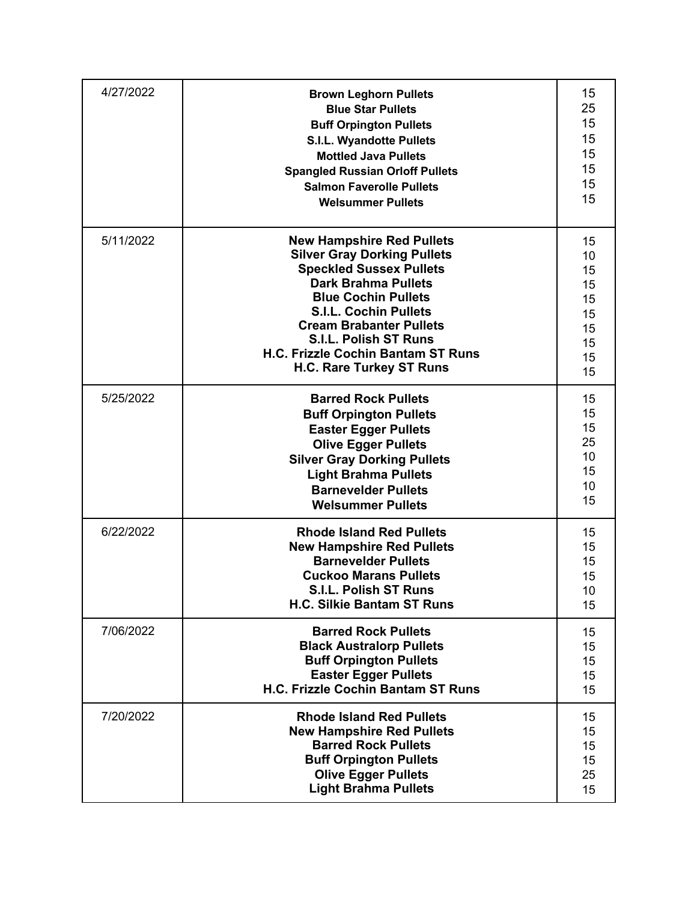| 4/27/2022 | <b>Brown Leghorn Pullets</b><br><b>Blue Star Pullets</b><br><b>Buff Orpington Pullets</b><br><b>S.I.L. Wyandotte Pullets</b><br><b>Mottled Java Pullets</b><br><b>Spangled Russian Orloff Pullets</b><br><b>Salmon Faverolle Pullets</b><br><b>Welsummer Pullets</b>                                                                                   | 15<br>25<br>15<br>15<br>15<br>15<br>15<br>15             |
|-----------|--------------------------------------------------------------------------------------------------------------------------------------------------------------------------------------------------------------------------------------------------------------------------------------------------------------------------------------------------------|----------------------------------------------------------|
| 5/11/2022 | <b>New Hampshire Red Pullets</b><br><b>Silver Gray Dorking Pullets</b><br><b>Speckled Sussex Pullets</b><br><b>Dark Brahma Pullets</b><br><b>Blue Cochin Pullets</b><br><b>S.I.L. Cochin Pullets</b><br><b>Cream Brabanter Pullets</b><br><b>S.I.L. Polish ST Runs</b><br><b>H.C. Frizzle Cochin Bantam ST Runs</b><br><b>H.C. Rare Turkey ST Runs</b> | 15<br>10<br>15<br>15<br>15<br>15<br>15<br>15<br>15<br>15 |
| 5/25/2022 | <b>Barred Rock Pullets</b><br><b>Buff Orpington Pullets</b><br><b>Easter Egger Pullets</b><br><b>Olive Egger Pullets</b><br><b>Silver Gray Dorking Pullets</b><br><b>Light Brahma Pullets</b><br><b>Barnevelder Pullets</b><br><b>Welsummer Pullets</b>                                                                                                | 15<br>15<br>15<br>25<br>10<br>15<br>10<br>15             |
| 6/22/2022 | <b>Rhode Island Red Pullets</b><br><b>New Hampshire Red Pullets</b><br><b>Barnevelder Pullets</b><br><b>Cuckoo Marans Pullets</b><br><b>S.I.L. Polish ST Runs</b><br><b>H.C. Silkie Bantam ST Runs</b>                                                                                                                                                 | 15<br>15<br>15<br>15<br>10<br>15                         |
| 7/06/2022 | <b>Barred Rock Pullets</b><br><b>Black Australorp Pullets</b><br><b>Buff Orpington Pullets</b><br><b>Easter Egger Pullets</b><br>H.C. Frizzle Cochin Bantam ST Runs                                                                                                                                                                                    | 15<br>15<br>15<br>15<br>15                               |
| 7/20/2022 | <b>Rhode Island Red Pullets</b><br><b>New Hampshire Red Pullets</b><br><b>Barred Rock Pullets</b><br><b>Buff Orpington Pullets</b><br><b>Olive Egger Pullets</b><br><b>Light Brahma Pullets</b>                                                                                                                                                        | 15<br>15<br>15<br>15<br>25<br>15                         |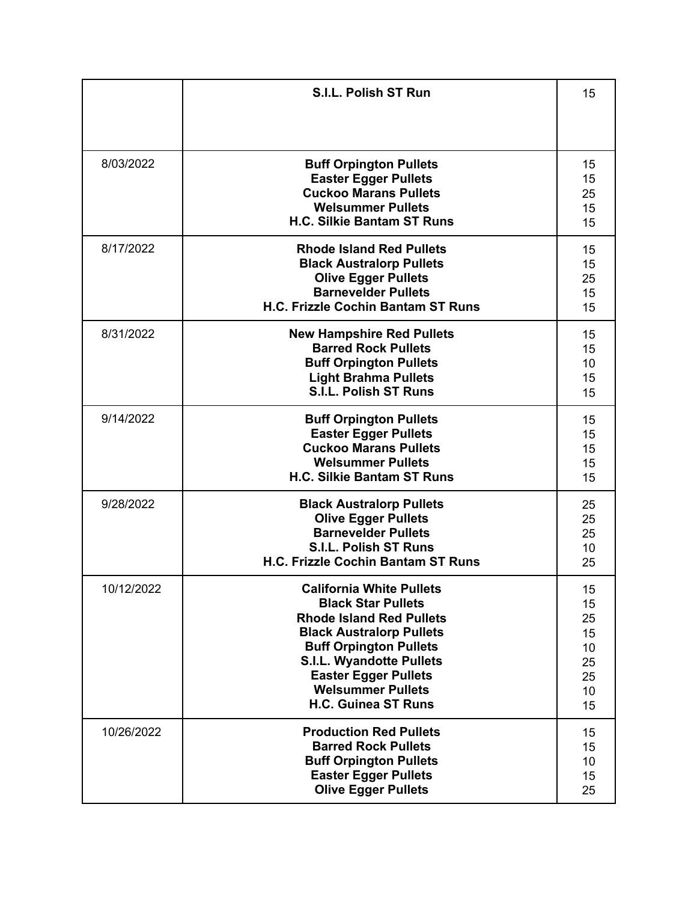|            | <b>S.I.L. Polish ST Run</b>                                                                                                                                                                                                                                                                     | 15                                                 |
|------------|-------------------------------------------------------------------------------------------------------------------------------------------------------------------------------------------------------------------------------------------------------------------------------------------------|----------------------------------------------------|
| 8/03/2022  | <b>Buff Orpington Pullets</b><br><b>Easter Egger Pullets</b><br><b>Cuckoo Marans Pullets</b><br><b>Welsummer Pullets</b><br><b>H.C. Silkie Bantam ST Runs</b>                                                                                                                                   | 15<br>15<br>25<br>15<br>15                         |
| 8/17/2022  | <b>Rhode Island Red Pullets</b><br><b>Black Australorp Pullets</b><br><b>Olive Egger Pullets</b><br><b>Barnevelder Pullets</b><br><b>H.C. Frizzle Cochin Bantam ST Runs</b>                                                                                                                     | 15<br>15<br>25<br>15<br>15                         |
| 8/31/2022  | <b>New Hampshire Red Pullets</b><br><b>Barred Rock Pullets</b><br><b>Buff Orpington Pullets</b><br><b>Light Brahma Pullets</b><br><b>S.I.L. Polish ST Runs</b>                                                                                                                                  | 15<br>15<br>10<br>15<br>15                         |
| 9/14/2022  | <b>Buff Orpington Pullets</b><br><b>Easter Egger Pullets</b><br><b>Cuckoo Marans Pullets</b><br><b>Welsummer Pullets</b><br><b>H.C. Silkie Bantam ST Runs</b>                                                                                                                                   | 15<br>15<br>15<br>15<br>15                         |
| 9/28/2022  | <b>Black Australorp Pullets</b><br><b>Olive Egger Pullets</b><br><b>Barnevelder Pullets</b><br><b>S.I.L. Polish ST Runs</b><br><b>H.C. Frizzle Cochin Bantam ST Runs</b>                                                                                                                        | 25<br>25<br>25<br>10<br>25                         |
| 10/12/2022 | <b>California White Pullets</b><br><b>Black Star Pullets</b><br><b>Rhode Island Red Pullets</b><br><b>Black Australorp Pullets</b><br><b>Buff Orpington Pullets</b><br><b>S.I.L. Wyandotte Pullets</b><br><b>Easter Egger Pullets</b><br><b>Welsummer Pullets</b><br><b>H.C. Guinea ST Runs</b> | 15<br>15<br>25<br>15<br>10<br>25<br>25<br>10<br>15 |
| 10/26/2022 | <b>Production Red Pullets</b><br><b>Barred Rock Pullets</b><br><b>Buff Orpington Pullets</b><br><b>Easter Egger Pullets</b><br><b>Olive Egger Pullets</b>                                                                                                                                       | 15<br>15<br>10<br>15<br>25                         |